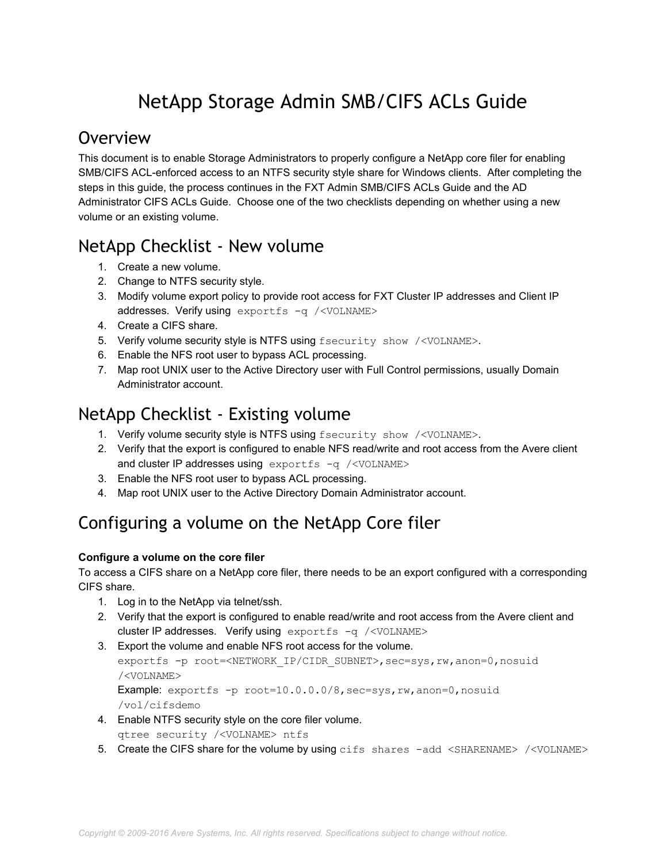# NetApp Storage Admin SMB/CIFS ACLs Guide

#### **Overview**

This document is to enable Storage Administrators to properly configure a NetApp core filer for enabling SMB/CIFS ACLenforced access to an NTFS security style share for Windows clients. After completing the steps in this guide, the process continues in the FXT Admin SMB/CIFS ACLs Guide and the AD Administrator CIFS ACLs Guide. Choose one of the two checklists depending on whether using a new volume or an existing volume.

# NetApp Checklist ‐ New volume

- 1. Create a new volume.
- 2. Change to NTFS security style.
- 3. Modify volume export policy to provide root access for FXT Cluster IP addresses and Client IP addresses. Verify using exportfs -q /<VOLNAME>
- 4. Create a CIFS share.
- 5. Verify volume security style is NTFS using fsecurity show /<VOLNAME>.
- 6. Enable the NFS root user to bypass ACL processing.
- 7. Map root UNIX user to the Active Directory user with Full Control permissions, usually Domain Administrator account.

## NetApp Checklist ‐ Existing volume

- 1. Verify volume security style is NTFS using fsecurity show /<VOLNAME>.
- 2. Verify that the export is configured to enable NFS read/write and root access from the Avere client and cluster IP addresses using exportfs  $-q$  /<VOLNAME>
- 3. Enable the NFS root user to bypass ACL processing.
- 4. Map root UNIX user to the Active Directory Domain Administrator account.

## Configuring a volume on the NetApp Core filer

#### **Configure a volume on the core filer**

To access a CIFS share on a NetApp core filer, there needs to be an export configured with a corresponding CIFS share.

- 1. Log in to the NetApp via telnet/ssh.
- 2. Verify that the export is configured to enable read/write and root access from the Avere client and cluster IP addresses. Verify using  $\exportfs - q$  /<VOLNAME>
- 3. Export the volume and enable NFS root access for the volume. exportfs -p root=<NETWORK IP/CIDR SUBNET>, sec=sys, rw, anon=0, nosuid /<VOLNAME> **Example:** exportfs  $-p$  root=10.0.0.0/8,sec=sys,rw,anon=0,nosuid

/vol/cifsdemo

- 4. Enable NTFS security style on the core filer volume. qtree security /<VOLNAME> ntfs
- 5. Create the CIFS share for the volume by using cifs shares -add <SHARENAME> /<VOLNAME>